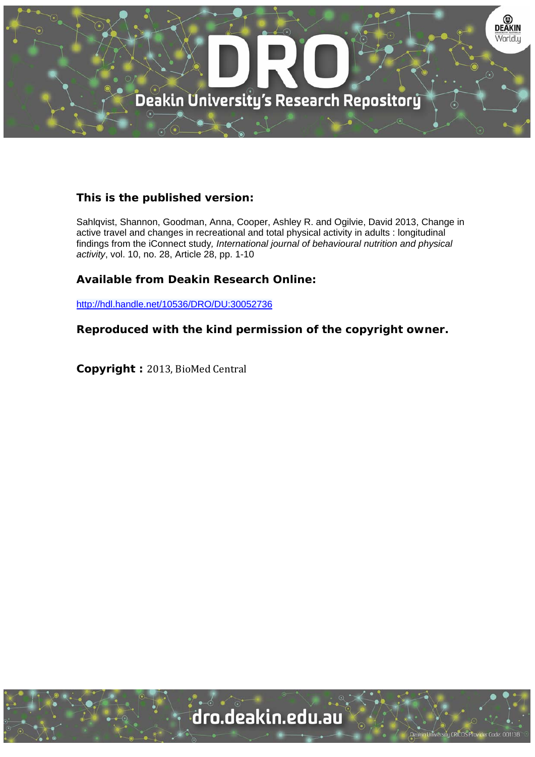

# **This is the published version:**

Sahlqvist, Shannon, Goodman, Anna, Cooper, Ashley R. and Ogilvie, David 2013, Change in active travel and changes in recreational and total physical activity in adults : longitudinal findings from the iConnect study*, International journal of behavioural nutrition and physical activity*, vol. 10, no. 28, Article 28, pp. 1-10

## **Available from Deakin Research Online:**

http://hdl.handle.net/10536/DRO/DU:30052736

**Reproduced with the kind permission of the copyright owner.** 

**Copyright : 2013, BioMed Central** 

University CRICOS Provider Code: 00113B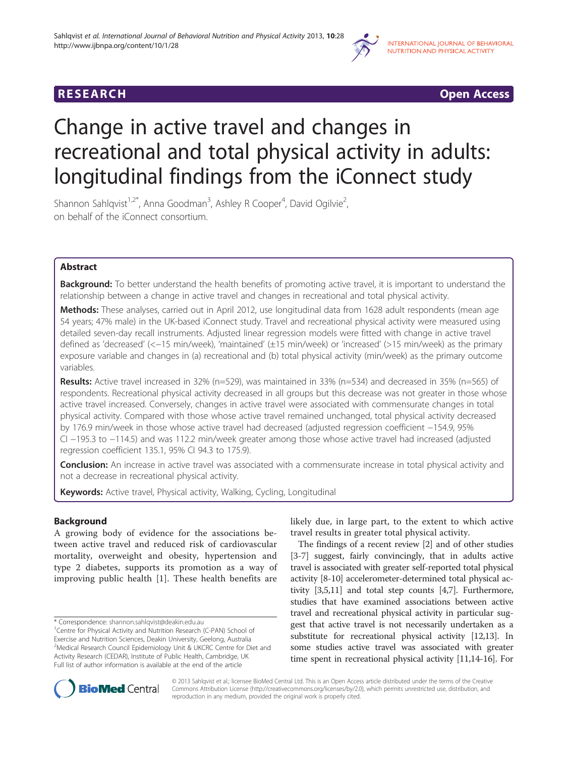

# **RESEARCH CHING CONSUMING CONSUMING CONSUMING CONSUMING CONSUMING CONSUMING CONSUMING CONSUMING CONSUMING CONSUMING CONSUMING CONSUMING CONSUMING CONSUMING CONSUMING CONSUMING CONSUMING CONSUMING CONSUMING CONSUMING CONS**

# Change in active travel and changes in recreational and total physical activity in adults: longitudinal findings from the iConnect study

Shannon Sahlqvist<sup>1,2\*</sup>, Anna Goodman<sup>3</sup>, Ashley R Cooper<sup>4</sup>, David Ogilvie<sup>2</sup> , on behalf of the iConnect consortium.

## Abstract

Background: To better understand the health benefits of promoting active travel, it is important to understand the relationship between a change in active travel and changes in recreational and total physical activity.

Methods: These analyses, carried out in April 2012, use longitudinal data from 1628 adult respondents (mean age 54 years; 47% male) in the UK-based iConnect study. Travel and recreational physical activity were measured using detailed seven-day recall instruments. Adjusted linear regression models were fitted with change in active travel defined as 'decreased' (<−15 min/week), 'maintained' (±15 min/week) or 'increased' (>15 min/week) as the primary exposure variable and changes in (a) recreational and (b) total physical activity (min/week) as the primary outcome variables.

Results: Active travel increased in 32% (n=529), was maintained in 33% (n=534) and decreased in 35% (n=565) of respondents. Recreational physical activity decreased in all groups but this decrease was not greater in those whose active travel increased. Conversely, changes in active travel were associated with commensurate changes in total physical activity. Compared with those whose active travel remained unchanged, total physical activity decreased by 176.9 min/week in those whose active travel had decreased (adjusted regression coefficient −154.9, 95% CI −195.3 to −114.5) and was 112.2 min/week greater among those whose active travel had increased (adjusted regression coefficient 135.1, 95% CI 94.3 to 175.9).

Conclusion: An increase in active travel was associated with a commensurate increase in total physical activity and not a decrease in recreational physical activity.

Keywords: Active travel, Physical activity, Walking, Cycling, Longitudinal

## Background

A growing body of evidence for the associations between active travel and reduced risk of cardiovascular mortality, overweight and obesity, hypertension and type 2 diabetes, supports its promotion as a way of improving public health [[1](#page-9-0)]. These health benefits are

likely due, in large part, to the extent to which active travel results in greater total physical activity.

The findings of a recent review [\[2\]](#page-9-0) and of other studies [[3-](#page-9-0)[7\]](#page-10-0) suggest, fairly convincingly, that in adults active travel is associated with greater self-reported total physical activity [\[8-10\]](#page-10-0) accelerometer-determined total physical activity [[3](#page-9-0),[5](#page-9-0)[,11](#page-10-0)] and total step counts [[4](#page-9-0)[,7](#page-10-0)]. Furthermore, studies that have examined associations between active travel and recreational physical activity in particular suggest that active travel is not necessarily undertaken as a substitute for recreational physical activity [\[12,13](#page-10-0)]. In some studies active travel was associated with greater time spent in recreational physical activity [\[11,14](#page-10-0)-[16](#page-10-0)]. For



© 2013 Sahlqvist et al.; licensee BioMed Central Ltd. This is an Open Access article distributed under the terms of the Creative Commons Attribution License [\(http://creativecommons.org/licenses/by/2.0\)](http://creativecommons.org/licenses/by/2.0), which permits unrestricted use, distribution, and reproduction in any medium, provided the original work is properly cited.

<sup>\*</sup> Correspondence: [shannon.sahlqvist@deakin.edu.au](mailto:shannon.sahlqvist@deakin.edu.au) <sup>1</sup>

<sup>&</sup>lt;sup>1</sup> Centre for Physical Activity and Nutrition Research (C-PAN) School of Exercise and Nutrition Sciences, Deakin University, Geelong, Australia <sup>2</sup>Medical Research Council Epidemiology Unit & UKCRC Centre for Diet and Activity Research (CEDAR), Institute of Public Health, Cambridge, UK Full list of author information is available at the end of the article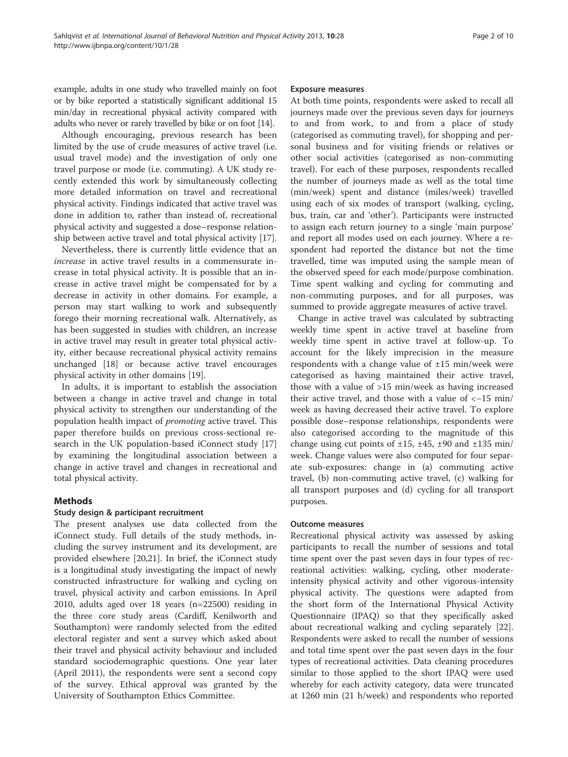example, adults in one study who travelled mainly on foot or by bike reported a statistically significant additional 15 min/day in recreational physical activity compared with adults who never or rarely travelled by bike or on foot [\[14\]](#page-10-0).

Although encouraging, previous research has been limited by the use of crude measures of active travel (i.e. usual travel mode) and the investigation of only one travel purpose or mode (i.e. commuting). A UK study recently extended this work by simultaneously collecting more detailed information on travel and recreational physical activity. Findings indicated that active travel was done in addition to, rather than instead of, recreational physical activity and suggested a dose–response relationship between active travel and total physical activity [\[17](#page-10-0)].

Nevertheless, there is currently little evidence that an increase in active travel results in a commensurate increase in total physical activity. It is possible that an increase in active travel might be compensated for by a decrease in activity in other domains. For example, a person may start walking to work and subsequently forego their morning recreational walk. Alternatively, as has been suggested in studies with children, an increase in active travel may result in greater total physical activity, either because recreational physical activity remains unchanged [\[18](#page-10-0)] or because active travel encourages physical activity in other domains [[19](#page-10-0)].

In adults, it is important to establish the association between a change in active travel and change in total physical activity to strengthen our understanding of the population health impact of promoting active travel. This paper therefore builds on previous cross-sectional research in the UK population-based iConnect study [[17](#page-10-0)] by examining the longitudinal association between a change in active travel and changes in recreational and total physical activity.

## Methods

## Study design & participant recruitment

The present analyses use data collected from the iConnect study. Full details of the study methods, including the survey instrument and its development, are provided elsewhere [\[20,21\]](#page-10-0). In brief, the iConnect study is a longitudinal study investigating the impact of newly constructed infrastructure for walking and cycling on travel, physical activity and carbon emissions. In April 2010, adults aged over 18 years (n=22500) residing in the three core study areas (Cardiff, Kenilworth and Southampton) were randomly selected from the edited electoral register and sent a survey which asked about their travel and physical activity behaviour and included standard sociodemographic questions. One year later (April 2011), the respondents were sent a second copy of the survey. Ethical approval was granted by the University of Southampton Ethics Committee.

#### Exposure measures

At both time points, respondents were asked to recall all journeys made over the previous seven days for journeys to and from work, to and from a place of study (categorised as commuting travel), for shopping and personal business and for visiting friends or relatives or other social activities (categorised as non-commuting travel). For each of these purposes, respondents recalled the number of journeys made as well as the total time (min/week) spent and distance (miles/week) travelled using each of six modes of transport (walking, cycling, bus, train, car and 'other'). Participants were instructed to assign each return journey to a single 'main purpose' and report all modes used on each journey. Where a respondent had reported the distance but not the time travelled, time was imputed using the sample mean of the observed speed for each mode/purpose combination. Time spent walking and cycling for commuting and non-commuting purposes, and for all purposes, was summed to provide aggregate measures of active travel.

Change in active travel was calculated by subtracting weekly time spent in active travel at baseline from weekly time spent in active travel at follow-up. To account for the likely imprecision in the measure respondents with a change value of  $\pm 15$  min/week were categorised as having maintained their active travel, those with a value of >15 min/week as having increased their active travel, and those with a value of <−15 min/ week as having decreased their active travel. To explore possible dose–response relationships, respondents were also categorised according to the magnitude of this change using cut points of  $\pm 15$ ,  $\pm 45$ ,  $\pm 90$  and  $\pm 135$  min/ week. Change values were also computed for four separate sub-exposures: change in (a) commuting active travel, (b) non-commuting active travel, (c) walking for all transport purposes and (d) cycling for all transport purposes.

#### Outcome measures

Recreational physical activity was assessed by asking participants to recall the number of sessions and total time spent over the past seven days in four types of recreational activities: walking, cycling, other moderateintensity physical activity and other vigorous-intensity physical activity. The questions were adapted from the short form of the International Physical Activity Questionnaire (IPAQ) so that they specifically asked about recreational walking and cycling separately [\[22](#page-10-0)]. Respondents were asked to recall the number of sessions and total time spent over the past seven days in the four types of recreational activities. Data cleaning procedures similar to those applied to the short IPAQ were used whereby for each activity category, data were truncated at 1260 min (21 h/week) and respondents who reported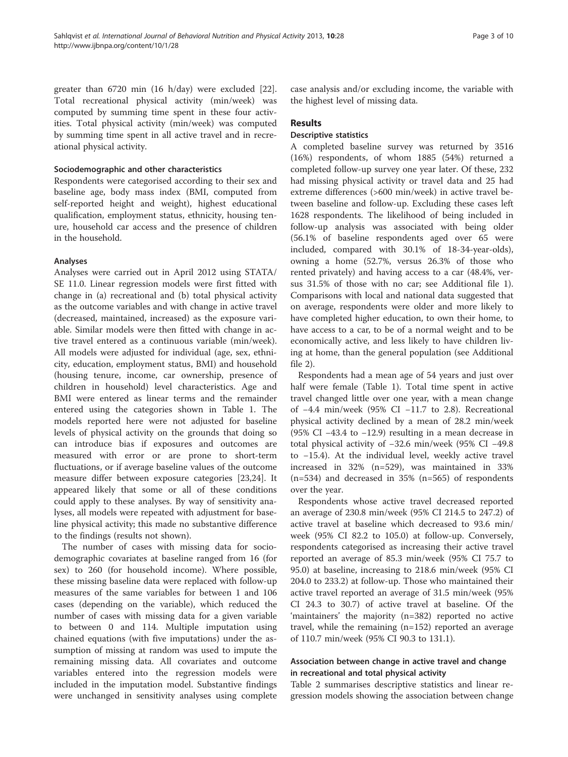greater than 6720 min (16 h/day) were excluded [\[22](#page-10-0)]. Total recreational physical activity (min/week) was computed by summing time spent in these four activities. Total physical activity (min/week) was computed by summing time spent in all active travel and in recreational physical activity.

#### Sociodemographic and other characteristics

Respondents were categorised according to their sex and baseline age, body mass index (BMI, computed from self-reported height and weight), highest educational qualification, employment status, ethnicity, housing tenure, household car access and the presence of children in the household.

## Analyses

Analyses were carried out in April 2012 using STATA/ SE 11.0. Linear regression models were first fitted with change in (a) recreational and (b) total physical activity as the outcome variables and with change in active travel (decreased, maintained, increased) as the exposure variable. Similar models were then fitted with change in active travel entered as a continuous variable (min/week). All models were adjusted for individual (age, sex, ethnicity, education, employment status, BMI) and household (housing tenure, income, car ownership, presence of children in household) level characteristics. Age and BMI were entered as linear terms and the remainder entered using the categories shown in Table [1](#page-4-0). The models reported here were not adjusted for baseline levels of physical activity on the grounds that doing so can introduce bias if exposures and outcomes are measured with error or are prone to short-term fluctuations, or if average baseline values of the outcome measure differ between exposure categories [\[23,24\]](#page-10-0). It appeared likely that some or all of these conditions could apply to these analyses. By way of sensitivity analyses, all models were repeated with adjustment for baseline physical activity; this made no substantive difference to the findings (results not shown).

The number of cases with missing data for sociodemographic covariates at baseline ranged from 16 (for sex) to 260 (for household income). Where possible, these missing baseline data were replaced with follow-up measures of the same variables for between 1 and 106 cases (depending on the variable), which reduced the number of cases with missing data for a given variable to between 0 and 114. Multiple imputation using chained equations (with five imputations) under the assumption of missing at random was used to impute the remaining missing data. All covariates and outcome variables entered into the regression models were included in the imputation model. Substantive findings were unchanged in sensitivity analyses using complete case analysis and/or excluding income, the variable with the highest level of missing data.

## Results

## Descriptive statistics

A completed baseline survey was returned by 3516 (16%) respondents, of whom 1885 (54%) returned a completed follow-up survey one year later. Of these, 232 had missing physical activity or travel data and 25 had extreme differences (>600 min/week) in active travel between baseline and follow-up. Excluding these cases left 1628 respondents. The likelihood of being included in follow-up analysis was associated with being older (56.1% of baseline respondents aged over 65 were included, compared with 30.1% of 18-34-year-olds), owning a home (52.7%, versus 26.3% of those who rented privately) and having access to a car (48.4%, versus 31.5% of those with no car; see Additional file [1](#page-9-0)). Comparisons with local and national data suggested that on average, respondents were older and more likely to have completed higher education, to own their home, to have access to a car, to be of a normal weight and to be economically active, and less likely to have children living at home, than the general population (see Additional file [2\)](#page-9-0).

Respondents had a mean age of 54 years and just over half were female (Table [1\)](#page-4-0). Total time spent in active travel changed little over one year, with a mean change of −4.4 min/week (95% CI −11.7 to 2.8). Recreational physical activity declined by a mean of 28.2 min/week (95% CI −43.4 to −12.9) resulting in a mean decrease in total physical activity of −32.6 min/week (95% CI −49.8 to −15.4). At the individual level, weekly active travel increased in 32% (n=529), was maintained in 33% (n=534) and decreased in 35% (n=565) of respondents over the year.

Respondents whose active travel decreased reported an average of 230.8 min/week (95% CI 214.5 to 247.2) of active travel at baseline which decreased to 93.6 min/ week (95% CI 82.2 to 105.0) at follow-up. Conversely, respondents categorised as increasing their active travel reported an average of 85.3 min/week (95% CI 75.7 to 95.0) at baseline, increasing to 218.6 min/week (95% CI 204.0 to 233.2) at follow-up. Those who maintained their active travel reported an average of 31.5 min/week (95% CI 24.3 to 30.7) of active travel at baseline. Of the 'maintainers' the majority (n=382) reported no active travel, while the remaining (n=152) reported an average of 110.7 min/week (95% CI 90.3 to 131.1).

## Association between change in active travel and change in recreational and total physical activity

Table [2](#page-5-0) summarises descriptive statistics and linear regression models showing the association between change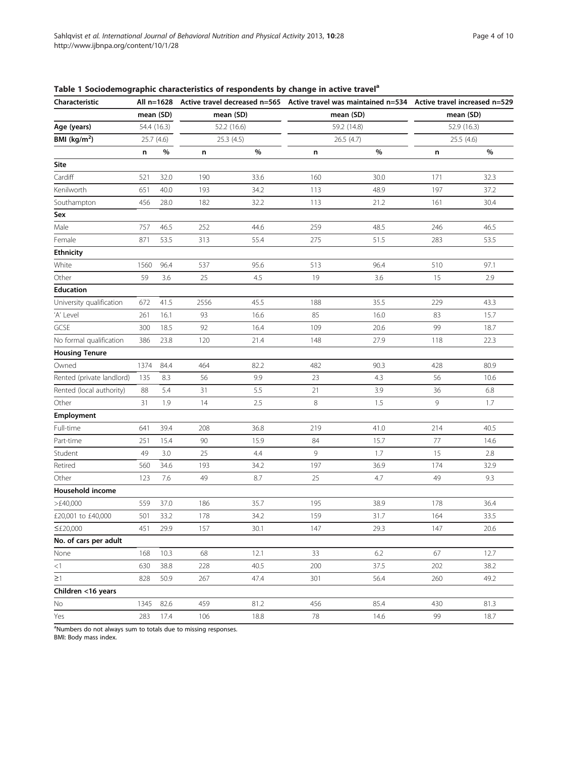| Characteristic            | All n=1628<br>mean (SD) |      | mean (SD)   |           |     |             | Active travel decreased n=565 Active travel was maintained n=534 Active travel increased n=529<br>mean (SD) |            |  |
|---------------------------|-------------------------|------|-------------|-----------|-----|-------------|-------------------------------------------------------------------------------------------------------------|------------|--|
|                           |                         |      |             |           |     | mean (SD)   |                                                                                                             |            |  |
| Age (years)               | 54.4 (16.3)             |      | 52.2 (16.6) |           |     | 59.2 (14.8) | 52.9 (16.3)                                                                                                 |            |  |
| BMI ( $kg/m2$ )           | 25.7 (4.6)              |      |             | 25.3(4.5) |     | 26.5 (4.7)  |                                                                                                             | 25.5 (4.6) |  |
|                           | n                       | $\%$ | n           | $\%$      | n   | %           | n                                                                                                           | $\%$       |  |
| Site                      |                         |      |             |           |     |             |                                                                                                             |            |  |
| Cardiff                   | 521                     | 32.0 | 190         | 33.6      | 160 | 30.0        | 171                                                                                                         | 32.3       |  |
| Kenilworth                | 651                     | 40.0 | 193         | 34.2      | 113 | 48.9        | 197                                                                                                         | 37.2       |  |
| Southampton               | 456                     | 28.0 | 182         | 32.2      | 113 | 21.2        | 161                                                                                                         | 30.4       |  |
| Sex                       |                         |      |             |           |     |             |                                                                                                             |            |  |
| Male                      | 757                     | 46.5 | 252         | 44.6      | 259 | 48.5        | 246                                                                                                         | 46.5       |  |
| Female                    | 871                     | 53.5 | 313         | 55.4      | 275 | 51.5        | 283                                                                                                         | 53.5       |  |
| <b>Ethnicity</b>          |                         |      |             |           |     |             |                                                                                                             |            |  |
| White                     | 1560                    | 96.4 | 537         | 95.6      | 513 | 96.4        | 510                                                                                                         | 97.1       |  |
| Other                     | 59                      | 3.6  | 25          | 4.5       | 19  | 3.6         | 15                                                                                                          | 2.9        |  |
| <b>Education</b>          |                         |      |             |           |     |             |                                                                                                             |            |  |
| University qualification  | 672                     | 41.5 | 2556        | 45.5      | 188 | 35.5        | 229                                                                                                         | 43.3       |  |
| 'A' Level                 | 261                     | 16.1 | 93          | 16.6      | 85  | 16.0        | 83                                                                                                          | 15.7       |  |
| GCSE                      | 300                     | 18.5 | 92          | 16.4      | 109 | 20.6        | 99                                                                                                          | 18.7       |  |
| No formal qualification   | 386                     | 23.8 | 120         | 21.4      | 148 | 27.9        | 118                                                                                                         | 22.3       |  |
| <b>Housing Tenure</b>     |                         |      |             |           |     |             |                                                                                                             |            |  |
| Owned                     | 1374                    | 84.4 | 464         | 82.2      | 482 | 90.3        | 428                                                                                                         | 80.9       |  |
| Rented (private landlord) | 135                     | 8.3  | 56          | 9.9       | 23  | 4.3         | 56                                                                                                          | 10.6       |  |
| Rented (local authority)  | 88                      | 5.4  | 31          | 5.5       | 21  | 3.9         | 36                                                                                                          | 6.8        |  |
| Other                     | 31                      | 1.9  | 14          | 2.5       | 8   | 1.5         | 9                                                                                                           | 1.7        |  |
| Employment                |                         |      |             |           |     |             |                                                                                                             |            |  |
| Full-time                 | 641                     | 39.4 | 208         | 36.8      | 219 | 41.0        | 214                                                                                                         | 40.5       |  |
| Part-time                 | 251                     | 15.4 | 90          | 15.9      | 84  | 15.7        | $77\,$                                                                                                      | 14.6       |  |
| Student                   | 49                      | 3.0  | 25          | 4.4       | 9   | 1.7         | 15                                                                                                          | 2.8        |  |
| Retired                   | 560                     | 34.6 | 193         | 34.2      | 197 | 36.9        | 174                                                                                                         | 32.9       |  |
| Other                     | 123                     | 7.6  | 49          | 8.7       | 25  | 4.7         | 49                                                                                                          | 9.3        |  |
| Household income          |                         |      |             |           |     |             |                                                                                                             |            |  |
| >£40,000                  | 559                     | 37.0 | 186         | 35.7      | 195 | 38.9        | 178                                                                                                         | 36.4       |  |
| £20,001 to £40,000        | 501                     | 33.2 | 178         | 34.2      | 159 | 31.7        | 164                                                                                                         | 33.5       |  |
| $\leq$ £20,000            | 451                     | 29.9 | 157         | 30.1      | 147 | 29.3        | 147                                                                                                         | 20.6       |  |
| No. of cars per adult     |                         |      |             |           |     |             |                                                                                                             |            |  |
| None                      | 168                     | 10.3 | 68          | 12.1      | 33  | 6.2         | 67                                                                                                          | 12.7       |  |
| $<$ 1                     | 630                     | 38.8 | 228         | 40.5      | 200 | 37.5        | 202                                                                                                         | 38.2       |  |
| $\geq$ 1                  | 828                     | 50.9 | 267         | 47.4      | 301 | 56.4        | 260                                                                                                         | 49.2       |  |
| Children <16 years        |                         |      |             |           |     |             |                                                                                                             |            |  |
| No                        | 1345                    | 82.6 | 459         | 81.2      | 456 | 85.4        | 430                                                                                                         | 81.3       |  |
| Yes                       | 283                     | 17.4 | 106         | 18.8      | 78  | 14.6        | 99                                                                                                          | 18.7       |  |

<span id="page-4-0"></span>Table 1 Sociodemographic characteristics of respondents by change in active travel<sup>a</sup>

<sup>a</sup>Numbers do not always sum to totals due to missing responses.

BMI: Body mass index.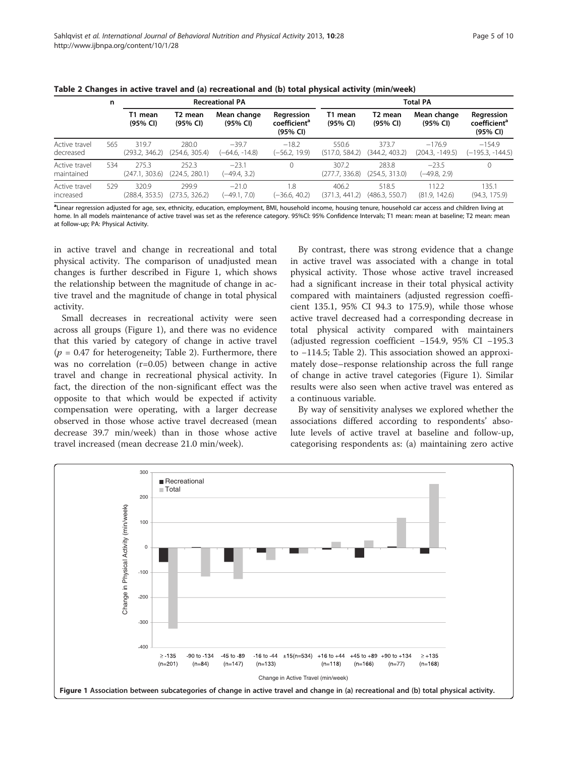|                             | n   |                         |                         | <b>Recreational PA</b>      |                                                    | <b>Total PA</b>         |                         |                               |                                                    |  |  |
|-----------------------------|-----|-------------------------|-------------------------|-----------------------------|----------------------------------------------------|-------------------------|-------------------------|-------------------------------|----------------------------------------------------|--|--|
|                             |     | T1 mean<br>(95% CI)     | T2 mean<br>(95% CI)     | Mean change<br>(95% CI)     | Regression<br>coefficient <sup>a</sup><br>(95% CI) | T1 mean<br>(95% CI)     | T2 mean<br>(95% CI)     | Mean change<br>(95% CI)       | Regression<br>coefficient <sup>a</sup><br>(95% CI) |  |  |
| Active travel<br>decreased  | 565 | 319.7<br>(293.2, 346.2) | 280.0<br>(254.6, 305.4) | $-39.7$<br>$(-64.6, -14.8)$ | $-18.2$<br>(-56.2, 19.9)                           | 550.6<br>(517.0, 584.2) | 373.7<br>(344.2, 403.2) | $-176.9$<br>$(204.3, -149.5)$ | $-154.9$<br>(–195.3, -144.5)                       |  |  |
| Active travel<br>maintained | 534 | 275.3<br>(247.1, 303.6) | 252.3<br>(224.5, 280.1) | $-23.1$<br>(-49.4, 3.2)     | $\Omega$                                           | 307.2<br>(277.7, 336.8) | 283.8<br>(254.5, 313.0) | $-23.5$<br>(-49.8, 2.9)       | $\mathbf{0}$                                       |  |  |
| Active travel<br>increased  | 529 | 320.9<br>(288.4, 353.5) | 299.9<br>(273.5, 326.2) | $-21.0$<br>(-49.1, 7.0)     | 1.8<br>$(-36.6, 40.2)$                             | 406.2<br>(371.3, 441.2) | 518.5<br>(486.3, 550.7) | 112.2<br>(81.9, 142.6)        | 135.1<br>(94.3, 175.9)                             |  |  |

<span id="page-5-0"></span>Table 2 Changes in active travel and (a) recreational and (b) total physical activity (min/week)

a<br>Linear regression adjusted for age, sex, ethnicity, education, employment, BMI, household income, housing tenure, household car access and children living at home. In all models maintenance of active travel was set as the reference category. 95%CI: 95% Confidence Intervals; T1 mean: mean at baseline; T2 mean: mean at follow-up; PA: Physical Activity.

in active travel and change in recreational and total physical activity. The comparison of unadjusted mean changes is further described in Figure 1, which shows the relationship between the magnitude of change in active travel and the magnitude of change in total physical activity.

Small decreases in recreational activity were seen across all groups (Figure 1), and there was no evidence that this varied by category of change in active travel  $(p = 0.47$  for heterogeneity; Table 2). Furthermore, there was no correlation (r=0.05) between change in active travel and change in recreational physical activity. In fact, the direction of the non-significant effect was the opposite to that which would be expected if activity compensation were operating, with a larger decrease observed in those whose active travel decreased (mean decrease 39.7 min/week) than in those whose active travel increased (mean decrease 21.0 min/week).

By contrast, there was strong evidence that a change in active travel was associated with a change in total physical activity. Those whose active travel increased had a significant increase in their total physical activity compared with maintainers (adjusted regression coefficient 135.1, 95% CI 94.3 to 175.9), while those whose active travel decreased had a corresponding decrease in total physical activity compared with maintainers (adjusted regression coefficient −154.9, 95% CI −195.3 to −114.5; Table 2). This association showed an approximately dose–response relationship across the full range of change in active travel categories (Figure 1). Similar results were also seen when active travel was entered as a continuous variable.

By way of sensitivity analyses we explored whether the associations differed according to respondents' absolute levels of active travel at baseline and follow-up, categorising respondents as: (a) maintaining zero active

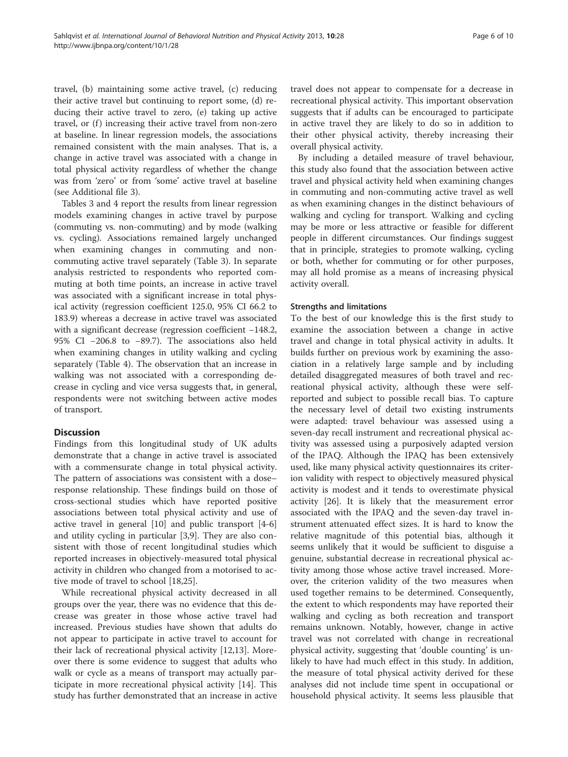travel, (b) maintaining some active travel, (c) reducing their active travel but continuing to report some, (d) reducing their active travel to zero, (e) taking up active travel, or (f) increasing their active travel from non-zero

at baseline. In linear regression models, the associations remained consistent with the main analyses. That is, a change in active travel was associated with a change in total physical activity regardless of whether the change was from 'zero' or from 'some' active travel at baseline (see Additional file [3\)](#page-9-0).

Tables [3](#page-7-0) and [4](#page-8-0) report the results from linear regression models examining changes in active travel by purpose (commuting vs. non-commuting) and by mode (walking vs. cycling). Associations remained largely unchanged when examining changes in commuting and noncommuting active travel separately (Table [3\)](#page-7-0). In separate analysis restricted to respondents who reported commuting at both time points, an increase in active travel was associated with a significant increase in total physical activity (regression coefficient 125.0, 95% CI 66.2 to 183.9) whereas a decrease in active travel was associated with a significant decrease (regression coefficient −148.2, 95% CI −206.8 to −89.7). The associations also held when examining changes in utility walking and cycling separately (Table [4](#page-8-0)). The observation that an increase in walking was not associated with a corresponding decrease in cycling and vice versa suggests that, in general, respondents were not switching between active modes of transport.

## **Discussion**

Findings from this longitudinal study of UK adults demonstrate that a change in active travel is associated with a commensurate change in total physical activity. The pattern of associations was consistent with a dose– response relationship. These findings build on those of cross-sectional studies which have reported positive associations between total physical activity and use of active travel in general [[10\]](#page-10-0) and public transport [[4](#page-9-0)[-6](#page-10-0)] and utility cycling in particular [[3,](#page-9-0)[9\]](#page-10-0). They are also consistent with those of recent longitudinal studies which reported increases in objectively-measured total physical activity in children who changed from a motorised to active mode of travel to school [\[18,25\]](#page-10-0).

While recreational physical activity decreased in all groups over the year, there was no evidence that this decrease was greater in those whose active travel had increased. Previous studies have shown that adults do not appear to participate in active travel to account for their lack of recreational physical activity [\[12,13\]](#page-10-0). Moreover there is some evidence to suggest that adults who walk or cycle as a means of transport may actually participate in more recreational physical activity [\[14](#page-10-0)]. This study has further demonstrated that an increase in active travel does not appear to compensate for a decrease in recreational physical activity. This important observation suggests that if adults can be encouraged to participate in active travel they are likely to do so in addition to their other physical activity, thereby increasing their overall physical activity.

By including a detailed measure of travel behaviour, this study also found that the association between active travel and physical activity held when examining changes in commuting and non-commuting active travel as well as when examining changes in the distinct behaviours of walking and cycling for transport. Walking and cycling may be more or less attractive or feasible for different people in different circumstances. Our findings suggest that in principle, strategies to promote walking, cycling or both, whether for commuting or for other purposes, may all hold promise as a means of increasing physical activity overall.

## Strengths and limitations

To the best of our knowledge this is the first study to examine the association between a change in active travel and change in total physical activity in adults. It builds further on previous work by examining the association in a relatively large sample and by including detailed disaggregated measures of both travel and recreational physical activity, although these were selfreported and subject to possible recall bias. To capture the necessary level of detail two existing instruments were adapted: travel behaviour was assessed using a seven-day recall instrument and recreational physical activity was assessed using a purposively adapted version of the IPAQ. Although the IPAQ has been extensively used, like many physical activity questionnaires its criterion validity with respect to objectively measured physical activity is modest and it tends to overestimate physical activity [[26\]](#page-10-0). It is likely that the measurement error associated with the IPAQ and the seven-day travel instrument attenuated effect sizes. It is hard to know the relative magnitude of this potential bias, although it seems unlikely that it would be sufficient to disguise a genuine, substantial decrease in recreational physical activity among those whose active travel increased. Moreover, the criterion validity of the two measures when used together remains to be determined. Consequently, the extent to which respondents may have reported their walking and cycling as both recreation and transport remains unknown. Notably, however, change in active travel was not correlated with change in recreational physical activity, suggesting that 'double counting' is unlikely to have had much effect in this study. In addition, the measure of total physical activity derived for these analyses did not include time spent in occupational or household physical activity. It seems less plausible that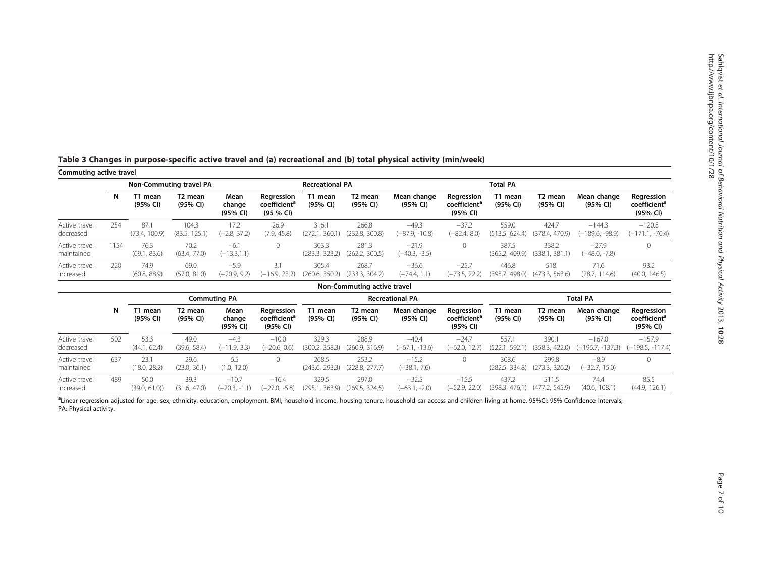| Commuting active travel     |      |                      | Non-Commuting travel PA         |                            |                                                     | <b>Recreational PA</b>  |                                 |                            |                                                    | <b>Total PA</b>         |                                 |                             |                                                    |  |
|-----------------------------|------|----------------------|---------------------------------|----------------------------|-----------------------------------------------------|-------------------------|---------------------------------|----------------------------|----------------------------------------------------|-------------------------|---------------------------------|-----------------------------|----------------------------------------------------|--|
|                             | N    | T1 mean<br>(95% CI)  | T <sub>2</sub> mean<br>(95% CI) | Mean<br>change<br>(95% CI) | Regression<br>coefficient <sup>a</sup><br>(95 % CI) | T1 mean<br>(95% CI)     | T <sub>2</sub> mean<br>(95% CI) | Mean change<br>(95% CI)    | Regression<br>coefficient <sup>a</sup><br>(95% CI) | T1 mean<br>(95% CI)     | T <sub>2</sub> mean<br>(95% CI) | Mean change<br>(95% CI)     | Regression<br>coefficient <sup>a</sup><br>(95% CI) |  |
| Active travel<br>decreased  | 254  | 87.<br>(73.4, 100.9) | 104.3<br>(83.5, 125.1)          | 17.2<br>$(-2.8, 37.2)$     | 26.9<br>(7.9, 45.8)                                 | 316.1<br>(272.1, 360.1) | 266.8<br>(232.8, 300.8)         | $-49.3$<br>(–87.9, -10.8)  | $-37.2$<br>$(-82.4, 8.0)$                          | 559.0<br>(513.5, 624.4) | 424.7<br>(378.4, 470.9)         | $-144.3$<br>(–189.6, -98.9) | $-120.8$<br>$(-171.1, -70.4)$                      |  |
| Active travel<br>maintained | 1154 | 76.3<br>(69.1, 83.6) | 70.2<br>(63.4, 77.0)            | $-6.1$<br>$(-13.3,1.1)$    |                                                     | 303.3<br>(283.3, 323.2) | 281.3<br>(262.2, 300.5)         | $-21.9$<br>$(-40.3, -3.5)$ |                                                    | 387.5<br>(365.2, 409.9) | 338.2<br>(338.1, 381.1)         | $-27.9$<br>(–48.0, -7.8)    |                                                    |  |
| Active travel<br>increased  | 220  | 74.9<br>(60.8, 88.9) | 69.0<br>(57.0, 81.0)            | $-5.9$<br>$(-20.9, 9.2)$   | 3.1<br>$(-16.9, 23.2)$                              | 305.4<br>(260.6, 350.2) | 268.7<br>(233.3, 304.2)         | $-36.6$<br>$(-74.4, 1.1)$  | $-25.7$<br>$(-73.5, 22.2)$                         | 446.8<br>(395.7, 498.0) | 518.<br>(473.3, 563.6)          | 71.6<br>(28.7, 114.6)       | 93.2<br>(40.0, 146.5)                              |  |
|                             |      |                      |                                 |                            |                                                     |                         | Non-Commuting active travel     |                            |                                                    |                         |                                 |                             |                                                    |  |
|                             |      |                      | $\sim$                          |                            |                                                     |                         |                                 | _______                    |                                                    | _ _ _ _                 |                                 |                             |                                                    |  |

<span id="page-7-0"></span>

| Table 3 Changes in purpose-specific active travel and (a) recreational and (b) total physical activity (min/week) |  |  |  |  |
|-------------------------------------------------------------------------------------------------------------------|--|--|--|--|
|                                                                                                                   |  |  |  |  |

|                             | Non-Commuting active travel |                      |                                 |                            |                                                    |                         |                         |                             |                                                    |                         |                         |                              |                                                    |  |
|-----------------------------|-----------------------------|----------------------|---------------------------------|----------------------------|----------------------------------------------------|-------------------------|-------------------------|-----------------------------|----------------------------------------------------|-------------------------|-------------------------|------------------------------|----------------------------------------------------|--|
|                             |                             |                      |                                 | <b>Commuting PA</b>        |                                                    |                         | <b>Recreational PA</b>  |                             |                                                    |                         | <b>Total PA</b>         |                              |                                                    |  |
|                             | N                           | T1 mean<br>(95% CI)  | T <sub>2</sub> mean<br>(95% CI) | Mean<br>change<br>(95% CI) | Regression<br>coefficient <sup>a</sup><br>(95% CI) | T1 mean<br>(95% CI)     | T2 mean<br>(95% CI)     | Mean change<br>(95% CI)     | Regression<br>coefficient <sup>a</sup><br>(95% CI) | T1 mean<br>(95% CI)     | T2 mean<br>(95% CI)     | Mean change<br>(95% CI)      | Regression<br>coefficient <sup>a</sup><br>(95% CI) |  |
| Active travel<br>decreased  | 502                         | 53.3<br>(44.1, 62.4) | 49.0<br>(39.6, 58.4)            | $-4.3$<br>$(-11.9, 3.3)$   | $-10.0$<br>$(-20.6, 0.6)$                          | 329.3<br>(300.2, 358.3) | 288.9<br>(260.9, 316.9) | $-40.4$<br>$(-67.1, -13.6)$ | $-24.7$<br>(-62.0, 12.7)                           | 557.1<br>(522.1, 592.1) | 390.1<br>(358.3, 422.0) | $-167.0$<br>(-196.7, -137.3) | $-157.9$<br>$(-198.5, -117.4)$                     |  |
| Active travel<br>maintained | 637                         | 23.1<br>(18.0, 28.2) | 29.6<br>(23.0, 36.1)            | 6.5<br>(1.0, 12.0)         |                                                    | 268.5<br>(243.6, 293.3) | 253.2<br>(228.8, 277.7) | $-15.2$<br>$(-38.1, 7.6)$   |                                                    | 308.6<br>(282.5, 334.8) | 299.8<br>(273.3, 326.2) | $-8.9$<br>(-32.7, 15.0)      |                                                    |  |
| Active travel<br>increased  | 489                         | 50.0<br>(39.0, 61.0) | 39.3<br>(31.6, 47.0)            | $-10.7$<br>$(-20.3, -1.1)$ | $-16.4$<br>$(-27.0, -5.8)$                         | 329.5<br>(295.1, 363.9) | 297.0<br>(269.5, 324.5) | $-32.5$<br>$(-63.1, -2.0)$  | $-15.5$<br>(-52.9, 22.0)                           | 437.2<br>(398.3, 476.1) | 511.5<br>(477.2, 545.9) | 74.4<br>(40.6, 108.1)        | 85.5<br>(44.9, 126.1)                              |  |

<sup>a</sup>Linear regression adjusted for age, sex, ethnicity, education, employment, BMI, household income, housing tenure, household car access and children living at home. 95%CI: 95% Confidence Intervals; PA: Physical activity.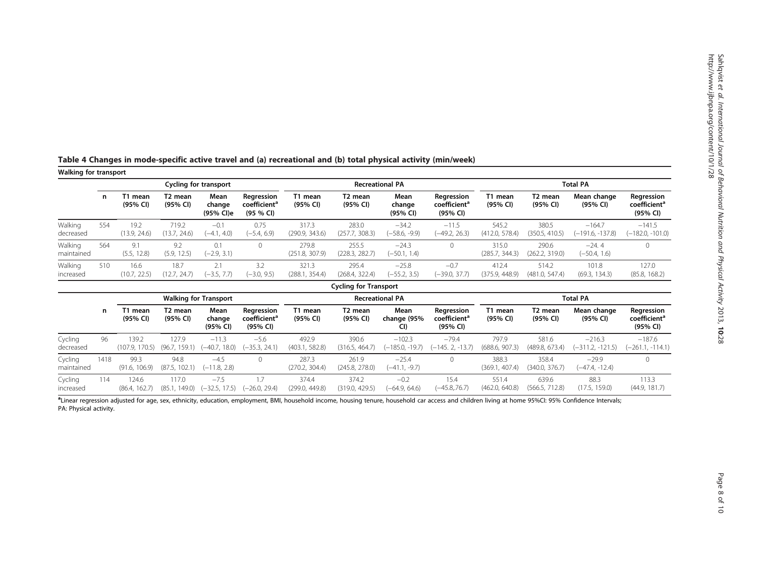| <b>Walking for transport</b> |      |                         |                                 |                              |                                                     |                         |                              |                               |                                                    |                         |                                 |                                |                                                    |  |
|------------------------------|------|-------------------------|---------------------------------|------------------------------|-----------------------------------------------------|-------------------------|------------------------------|-------------------------------|----------------------------------------------------|-------------------------|---------------------------------|--------------------------------|----------------------------------------------------|--|
|                              |      |                         |                                 | <b>Cycling for transport</b> |                                                     |                         |                              | <b>Recreational PA</b>        |                                                    | <b>Total PA</b>         |                                 |                                |                                                    |  |
|                              | n    | T1 mean<br>(95% CI)     | T2 mean<br>(95% CI)             | Mean<br>change<br>(95% CI)e  | Regression<br>coefficient <sup>a</sup><br>(95 % CI) | T1 mean<br>(95% CI)     | T2 mean<br>(95% CI)          | Mean<br>change<br>(95% CI)    | Regression<br>coefficient <sup>a</sup><br>(95% CI) | T1 mean<br>(95% CI)     | T <sub>2</sub> mean<br>(95% CI) | Mean change<br>(95% CI)        | Regression<br>coefficient <sup>a</sup><br>(95% CI) |  |
| Walking<br>decreased         | 554  | 19.2<br>(13.9, 24.6)    | 719.2<br>(13.7, 24.6)           | $-0.1$<br>$(-4.1, 4.0)$      | 0.75<br>$(-5.4, 6.9)$                               | 317.3<br>(290.9, 343.6) | 283.0<br>(257.7, 308.3)      | $-34.2$<br>$(-58.6, -9.9)$    | $-11.5$<br>$(-49.2, 26.3)$                         | 545.2<br>(412.0, 578.4) | 380.5<br>(350.5, 410.5)         | $-164.7$<br>$(-191.6, -137.8)$ | $-141.5$<br>$(-182.0, -101.0)$                     |  |
| Walking<br>maintained        | 564  | 9.1<br>(5.5, 12.8)      | 9.2<br>(5.9, 12.5)              | 0.1<br>$(-2.9, 3.1)$         | $\mathbf 0$                                         | 279.8<br>(251.8, 307.9) | 255.5<br>(228.3, 282.7)      | $-24.3$<br>$(-50.1, 1.4)$     | $\circ$                                            | 315.0<br>(285.7, 344.3) | 290.6<br>(262.2, 319.0)         | $-24.4$<br>$(-50.4, 1.6)$      | $\mathbf{0}$                                       |  |
| Walking<br>increased         | 510  | 16.6<br>(10.7, 22.5)    | 18.7<br>(12.7, 24.7)            | 2.1<br>$(-3.5, 7.7)$         | 3.2<br>$(-3.0, 9.5)$                                | 321.3<br>(288.1, 354.4) | 295.4<br>(268.4, 322.4)      | $-25.8$<br>$(-55.2, 3.5)$     | $-0.7$<br>$(-39.0, 37.7)$                          | 412.4<br>(375.9, 448.9) | 514.2<br>(481.0, 547.4)         | 101.8<br>(69.3, 134.3)         | 127.0<br>(85.8, 168.2)                             |  |
|                              |      |                         |                                 |                              |                                                     |                         | <b>Cycling for Transport</b> |                               |                                                    |                         |                                 |                                |                                                    |  |
|                              |      |                         |                                 | <b>Walking for Transport</b> |                                                     |                         |                              | <b>Recreational PA</b>        |                                                    |                         | <b>Total PA</b>                 |                                |                                                    |  |
|                              | n    | T1 mean<br>(95% CI)     | T <sub>2</sub> mean<br>(95% CI) | Mean<br>change<br>(95% CI)   | Regression<br>coefficient <sup>a</sup><br>(95% CI)  | T1 mean<br>(95% CI)     | T2 mean<br>(95% CI)          | Mean<br>change (95%<br>CI)    | Regression<br>coefficient <sup>a</sup><br>(95% CI) | T1 mean<br>(95% CI)     | T2 mean<br>(95% CI)             | Mean change<br>(95% CI)        | Regression<br>coefficient <sup>a</sup><br>(95% CI) |  |
| Cycling<br>decreased         | 96   | 139.2<br>(107.9, 170.5) | 127.9<br>(96.7, 159.1)          | $-11.3$<br>$(-40.7, 18.0)$   | $-5.6$<br>$(-35.3, 24.1)$                           | 492.9<br>(403.1, 582.8) | 390.6<br>(316.5, 464.7)      | $-102.3$<br>$(-185.0, -19.7)$ | $-79.4$<br>$(-145.2, -13.7)$                       | 797.9<br>(688.6, 907.3) | 581.6<br>(489.8, 673.4)         | $-216.3$<br>$(-311.2, -121.5)$ | $-187.6$<br>$(-261.1, -114.1)$                     |  |
| Cycling<br>maintained        | 1418 | 99.3<br>(91.6, 106.9)   | 94.8<br>(87.5, 102.1)           | $-4.5$<br>$(-11.8, 2.8)$     | $\mathbf 0$                                         | 287.3<br>(270.2, 304.4) | 261.9<br>(245.8, 278.0)      | $-25.4$<br>$(-41.1, -9.7)$    | $\circ$                                            | 388.3<br>(369.1, 407.4) | 358.4<br>(340.0, 376.7)         | $-29.9$<br>$(-47.4, -12.4)$    | $\mathbf{0}$                                       |  |
| Cycling<br>increased         | 114  | 124.6<br>(86.4, 162.7)  | 117.0<br>(85.1, 149.0)          | $-7.5$<br>$(-32.5, 17.5)$    | 1.7<br>$(-26.0, 29.4)$                              | 374.4<br>(299.0, 449.8) | 374.2<br>(319.0, 429.5)      | $-0.2$<br>$(-64.9, 64.6)$     | 15.4<br>$(-45.8, 76.7)$                            | 551.4<br>(462.0, 640.8) | 639.6<br>(566.5, 712.8)         | 88.3<br>(17.5, 159.0)          | 113.3<br>(44.9, 181.7)                             |  |

<span id="page-8-0"></span>Table <sup>4</sup> Changes in mode-specific active travel and (a) recreational and (b) total physical activity (min/week)

aLinear regression adjusted for age, sex, ethnicity, education, employment, BMI, household income, housing tenure, household car access and children living at home 95%CI: 95% Confidence Intervals; PA: Physical activity.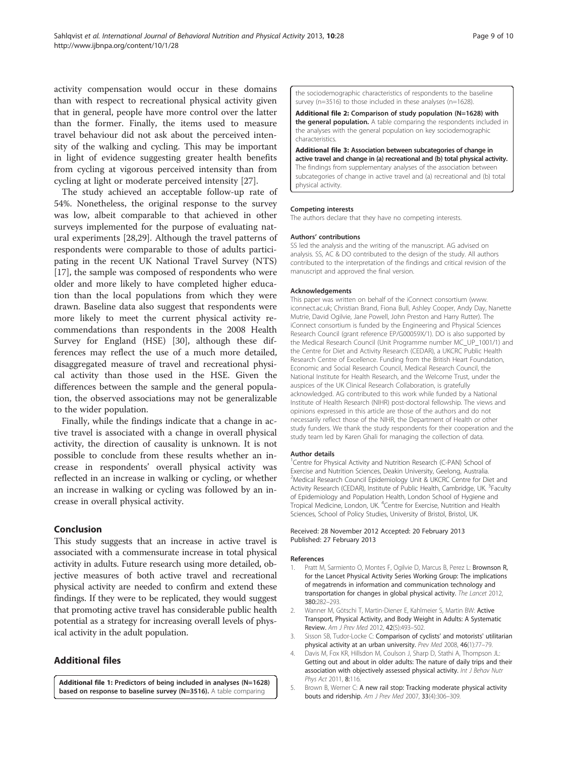<span id="page-9-0"></span>activity compensation would occur in these domains than with respect to recreational physical activity given that in general, people have more control over the latter than the former. Finally, the items used to measure travel behaviour did not ask about the perceived intensity of the walking and cycling. This may be important in light of evidence suggesting greater health benefits from cycling at vigorous perceived intensity than from cycling at light or moderate perceived intensity [[27\]](#page-10-0).

The study achieved an acceptable follow-up rate of 54%. Nonetheless, the original response to the survey was low, albeit comparable to that achieved in other surveys implemented for the purpose of evaluating natural experiments [\[28,29](#page-10-0)]. Although the travel patterns of respondents were comparable to those of adults participating in the recent UK National Travel Survey (NTS) [[17\]](#page-10-0), the sample was composed of respondents who were older and more likely to have completed higher education than the local populations from which they were drawn. Baseline data also suggest that respondents were more likely to meet the current physical activity recommendations than respondents in the 2008 Health Survey for England (HSE) [[30\]](#page-10-0), although these differences may reflect the use of a much more detailed, disaggregated measure of travel and recreational physical activity than those used in the HSE. Given the differences between the sample and the general population, the observed associations may not be generalizable to the wider population.

Finally, while the findings indicate that a change in active travel is associated with a change in overall physical activity, the direction of causality is unknown. It is not possible to conclude from these results whether an increase in respondents' overall physical activity was reflected in an increase in walking or cycling, or whether an increase in walking or cycling was followed by an increase in overall physical activity.

## Conclusion

This study suggests that an increase in active travel is associated with a commensurate increase in total physical activity in adults. Future research using more detailed, objective measures of both active travel and recreational physical activity are needed to confirm and extend these findings. If they were to be replicated, they would suggest that promoting active travel has considerable public health potential as a strategy for increasing overall levels of physical activity in the adult population.

## Additional files

[Additional file 1:](http://www.biomedcentral.com/content/supplementary/1479-5868-10-28-S1.doc) Predictors of being included in analyses (N=1628) based on response to baseline survey (N=3516). A table comparing

the sociodemographic characteristics of respondents to the baseline survey (n=3516) to those included in these analyses (n=1628).

[Additional file 2:](http://www.biomedcentral.com/content/supplementary/1479-5868-10-28-S2.docx) Comparison of study population (N=1628) with the general population. A table comparing the respondents included in the analyses with the general population on key sociodemographic characteristics.

[Additional file 3:](http://www.biomedcentral.com/content/supplementary/1479-5868-10-28-S3.docx) Association between subcategories of change in active travel and change in (a) recreational and (b) total physical activity. The findings from supplementary analyses of the association between subcategories of change in active travel and (a) recreational and (b) total physical activity.

#### Competing interests

The authors declare that they have no competing interests.

#### Authors' contributions

SS led the analysis and the writing of the manuscript. AG advised on analysis. SS, AC & DO contributed to the design of the study. All authors contributed to the interpretation of the findings and critical revision of the manuscript and approved the final version.

#### Acknowledgements

This paper was written on behalf of the iConnect consortium [\(www.](http://www.iconnect.ac.uk/) [iconnect.ac.uk;](http://www.iconnect.ac.uk/) Christian Brand, Fiona Bull, Ashley Cooper, Andy Day, Nanette Mutrie, David Ogilvie, Jane Powell, John Preston and Harry Rutter). The iConnect consortium is funded by the Engineering and Physical Sciences Research Council (grant reference EP/G00059X/1). DO is also supported by the Medical Research Council (Unit Programme number MC\_UP\_1001/1) and the Centre for Diet and Activity Research (CEDAR), a UKCRC Public Health Research Centre of Excellence. Funding from the British Heart Foundation, Economic and Social Research Council, Medical Research Council, the National Institute for Health Research, and the Welcome Trust, under the auspices of the UK Clinical Research Collaboration, is gratefully acknowledged. AG contributed to this work while funded by a National Institute of Health Research (NIHR) post-doctoral fellowship. The views and opinions expressed in this article are those of the authors and do not necessarily reflect those of the NIHR, the Department of Health or other study funders. We thank the study respondents for their cooperation and the study team led by Karen Ghali for managing the collection of data.

#### Author details

<sup>1</sup> Centre for Physical Activity and Nutrition Research (C-PAN) School of Exercise and Nutrition Sciences, Deakin University, Geelong, Australia. <sup>2</sup>Medical Research Council Epidemiology Unit & UKCRC Centre for Diet and Activity Research (CEDAR), Institute of Public Health, Cambridge, UK. <sup>3</sup>Faculty of Epidemiology and Population Health, London School of Hygiene and Tropical Medicine, London, UK. <sup>4</sup>Centre for Exercise, Nutrition and Health Sciences, School of Policy Studies, University of Bristol, Bristol, UK.

#### Received: 28 November 2012 Accepted: 20 February 2013 Published: 27 February 2013

#### References

- 1. Pratt M, Sarmiento O, Montes F, Ogilvie D, Marcus B, Perez L: Brownson R, for the Lancet Physical Activity Series Working Group: The implications of megatrends in information and communication technology and transportation for changes in global physical activity. The Lancet 2012, 380:282–293.
- 2. Wanner M, Götschi T, Martin-Diener E, Kahlmeier S, Martin BW: Active Transport, Physical Activity, and Body Weight in Adults: A Systematic Review. Am J Prev Med 2012, 42(5):493–502.
- 3. Sisson SB, Tudor-Locke C: Comparison of cyclists' and motorists' utilitarian physical activity at an urban university. Prev Med 2008, 46(1):77–79.
- 4. Davis M, Fox KR, Hillsdon M, Coulson J, Sharp D, Stathi A, Thompson JL: Getting out and about in older adults: The nature of daily trips and their association with objectively assessed physical activity. Int J Behav Nutr Phys Act 2011, 8:116.
- 5. Brown B, Werner C: A new rail stop: Tracking moderate physical activity bouts and ridership. Am J Prev Med 2007, 33(4):306–309.